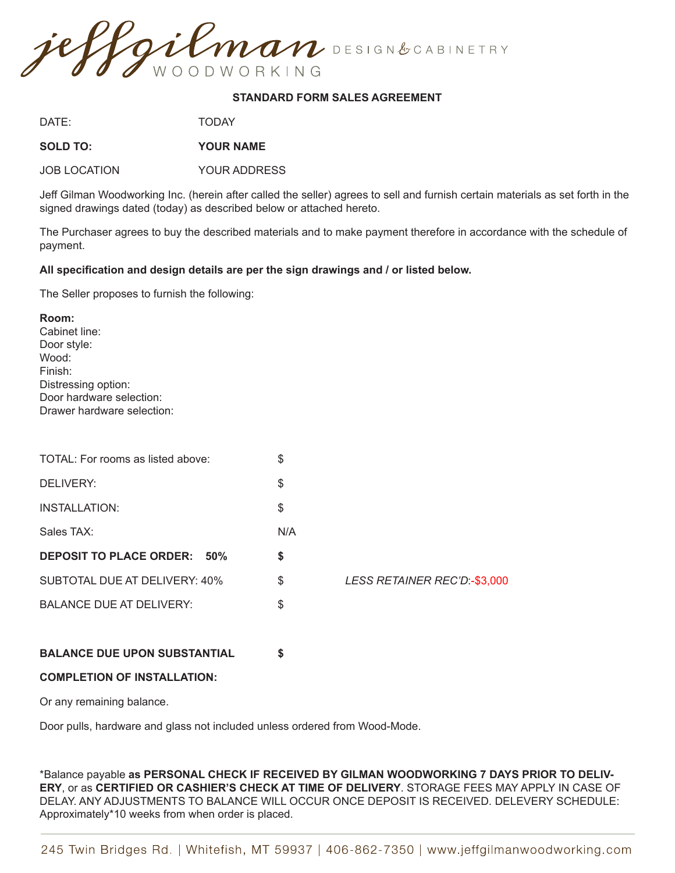

## **STANDARD FORM SALES AGREEMENT**

DATE: TODAY

**SOLD TO: YOUR NAME**

JOB LOCATION YOUR ADDRESS

Jeff Gilman Woodworking Inc. (herein after called the seller) agrees to sell and furnish certain materials as set forth in the signed drawings dated (today) as described below or attached hereto.

The Purchaser agrees to buy the described materials and to make payment therefore in accordance with the schedule of payment.

## **All specification and design details are per the sign drawings and / or listed below.**

The Seller proposes to furnish the following:

| Room:                      |
|----------------------------|
| Cabinet line:              |
| Door style:                |
| Wood:                      |
| Finish:                    |
| Distressing option:        |
| Door hardware selection:   |
| Drawer hardware selection: |

| TOTAL: For rooms as listed above:            | \$                                 |
|----------------------------------------------|------------------------------------|
| DELIVERY:                                    | \$                                 |
| <b>INSTALLATION:</b>                         | \$                                 |
| Sales TAX:                                   | N/A                                |
| <b>DEPOSIT TO PLACE ORDER:</b><br><b>50%</b> | \$                                 |
| SUBTOTAL DUE AT DELIVERY: 40%                | \$<br>LESS RETAINER REC'D:-\$3,000 |
| <b>BALANCE DUE AT DELIVERY:</b>              | \$                                 |
|                                              |                                    |
|                                              |                                    |

## **BALANCE DUE UPON SUBSTANTIAL \$**

## **COMPLETION OF INSTALLATION:**

Or any remaining balance.

Door pulls, hardware and glass not included unless ordered from Wood-Mode.

\*Balance payable **as PERSONAL CHECK IF RECEIVED BY GILMAN WOODWORKING 7 DAYS PRIOR TO DELIV-ERY**, or as **CERTIFIED OR CASHIER'S CHECK AT TIME OF DELIVERY**. STORAGE FEES MAY APPLY IN CASE OF DELAY. ANY ADJUSTMENTS TO BALANCE WILL OCCUR ONCE DEPOSIT IS RECEIVED. DELEVERY SCHEDULE: Approximately\*10 weeks from when order is placed.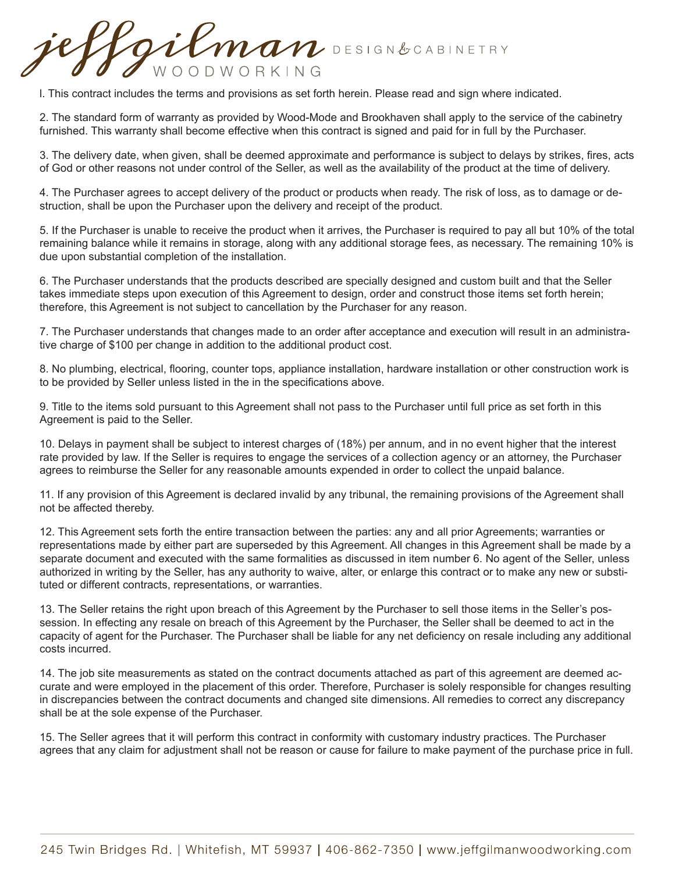gilman DESIGN&CABINETRY WOODWORKING

l. This contract includes the terms and provisions as set forth herein. Please read and sign where indicated.

2. The standard form of warranty as provided by Wood-Mode and Brookhaven shall apply to the service of the cabinetry furnished. This warranty shall become effective when this contract is signed and paid for in full by the Purchaser.

3. The delivery date, when given, shall be deemed approximate and performance is subject to delays by strikes, fires, acts of God or other reasons not under control of the Seller, as well as the availability of the product at the time of delivery.

4. The Purchaser agrees to accept delivery of the product or products when ready. The risk of loss, as to damage or destruction, shall be upon the Purchaser upon the delivery and receipt of the product.

5. If the Purchaser is unable to receive the product when it arrives, the Purchaser is required to pay all but 10% of the total remaining balance while it remains in storage, along with any additional storage fees, as necessary. The remaining 10% is due upon substantial completion of the installation.

6. The Purchaser understands that the products described are specially designed and custom built and that the Seller takes immediate steps upon execution of this Agreement to design, order and construct those items set forth herein; therefore, this Agreement is not subject to cancellation by the Purchaser for any reason.

7. The Purchaser understands that changes made to an order after acceptance and execution will result in an administrative charge of \$100 per change in addition to the additional product cost.

8. No plumbing, electrical, flooring, counter tops, appliance installation, hardware installation or other construction work is to be provided by Seller unless listed in the in the specifications above.

9. Title to the items sold pursuant to this Agreement shall not pass to the Purchaser until full price as set forth in this Agreement is paid to the Seller.

10. Delays in payment shall be subject to interest charges of (18%) per annum, and in no event higher that the interest rate provided by law. If the Seller is requires to engage the services of a collection agency or an attorney, the Purchaser agrees to reimburse the Seller for any reasonable amounts expended in order to collect the unpaid balance.

11. If any provision of this Agreement is declared invalid by any tribunal, the remaining provisions of the Agreement shall not be affected thereby.

12. This Agreement sets forth the entire transaction between the parties: any and all prior Agreements; warranties or representations made by either part are superseded by this Agreement. All changes in this Agreement shall be made by a separate document and executed with the same formalities as discussed in item number 6. No agent of the Seller, unless authorized in writing by the Seller, has any authority to waive, alter, or enlarge this contract or to make any new or substituted or different contracts, representations, or warranties.

13. The Seller retains the right upon breach of this Agreement by the Purchaser to sell those items in the Seller's possession. In effecting any resale on breach of this Agreement by the Purchaser, the Seller shall be deemed to act in the capacity of agent for the Purchaser. The Purchaser shall be liable for any net deficiency on resale including any additional costs incurred.

14. The job site measurements as stated on the contract documents attached as part of this agreement are deemed accurate and were employed in the placement of this order. Therefore, Purchaser is solely responsible for changes resulting in discrepancies between the contract documents and changed site dimensions. All remedies to correct any discrepancy shall be at the sole expense of the Purchaser.

15. The Seller agrees that it will perform this contract in conformity with customary industry practices. The Purchaser agrees that any claim for adjustment shall not be reason or cause for failure to make payment of the purchase price in full.